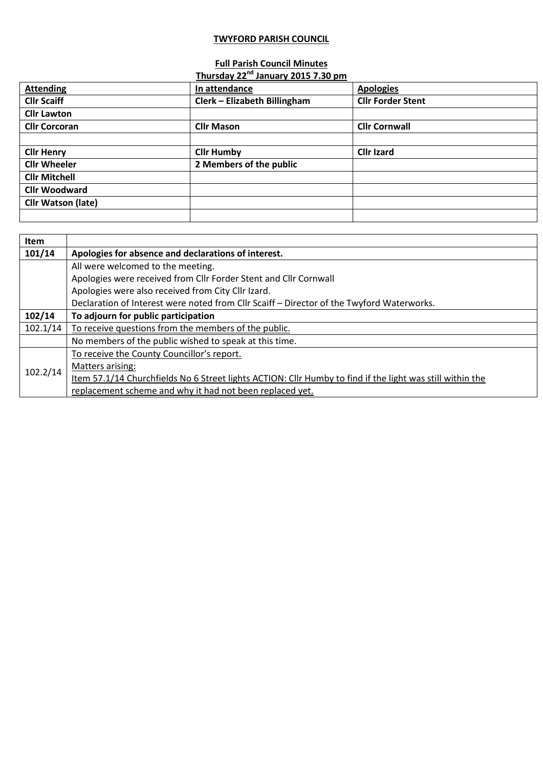## **TWYFORD PARISH COUNCIL**

## **Full Parish Council Minutes**

|                           | Thursday 22 <sup>nd</sup> January 2015 7.30 pm |                          |
|---------------------------|------------------------------------------------|--------------------------|
| <b>Attending</b>          | In attendance                                  | <b>Apologies</b>         |
| <b>Cllr Scaiff</b>        | Clerk - Elizabeth Billingham                   | <b>Cllr Forder Stent</b> |
| <b>Cllr Lawton</b>        |                                                |                          |
| <b>Cllr Corcoran</b>      | <b>Cllr Mason</b>                              | <b>Cllr Cornwall</b>     |
|                           |                                                |                          |
| <b>Cllr Henry</b>         | <b>Cllr Humby</b>                              | <b>Cllr Izard</b>        |
| <b>Cllr Wheeler</b>       | 2 Members of the public                        |                          |
| <b>Cllr Mitchell</b>      |                                                |                          |
| <b>Cllr Woodward</b>      |                                                |                          |
| <b>Cllr Watson (late)</b> |                                                |                          |
|                           |                                                |                          |

| Item     |                                                                                                           |
|----------|-----------------------------------------------------------------------------------------------------------|
| 101/14   | Apologies for absence and declarations of interest.                                                       |
|          | All were welcomed to the meeting.                                                                         |
|          | Apologies were received from Cllr Forder Stent and Cllr Cornwall                                          |
|          | Apologies were also received from City Cllr Izard.                                                        |
|          | Declaration of Interest were noted from Cllr Scaiff - Director of the Twyford Waterworks.                 |
| 102/14   | To adjourn for public participation                                                                       |
| 102.1/14 | To receive questions from the members of the public.                                                      |
|          | No members of the public wished to speak at this time.                                                    |
| 102.2/14 | To receive the County Councillor's report.                                                                |
|          | Matters arising:                                                                                          |
|          | Item 57.1/14 Churchfields No 6 Street lights ACTION: Cllr Humby to find if the light was still within the |
|          | replacement scheme and why it had not been replaced yet.                                                  |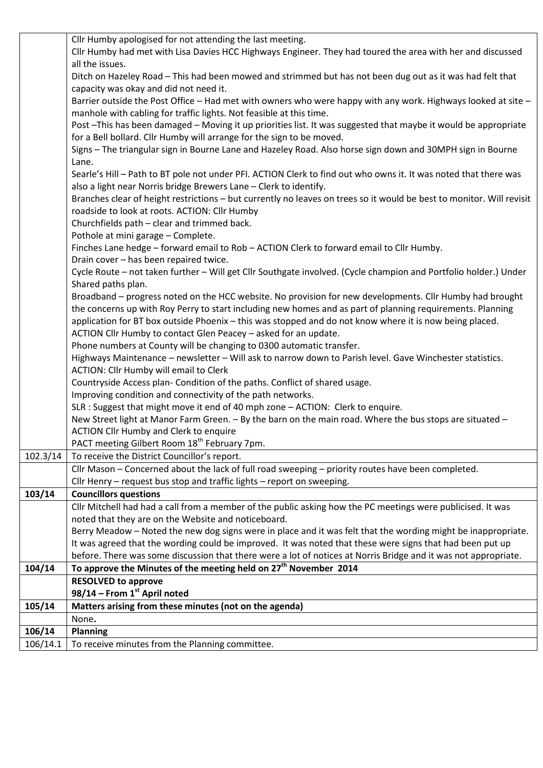|          | Cllr Humby apologised for not attending the last meeting.                                                             |
|----------|-----------------------------------------------------------------------------------------------------------------------|
|          | Cllr Humby had met with Lisa Davies HCC Highways Engineer. They had toured the area with her and discussed            |
|          | all the issues.                                                                                                       |
|          | Ditch on Hazeley Road - This had been mowed and strimmed but has not been dug out as it was had felt that             |
|          | capacity was okay and did not need it.                                                                                |
|          | Barrier outside the Post Office - Had met with owners who were happy with any work. Highways looked at site -         |
|          | manhole with cabling for traffic lights. Not feasible at this time.                                                   |
|          | Post -This has been damaged - Moving it up priorities list. It was suggested that maybe it would be appropriate       |
|          | for a Bell bollard. Cllr Humby will arrange for the sign to be moved.                                                 |
|          | Signs - The triangular sign in Bourne Lane and Hazeley Road. Also horse sign down and 30MPH sign in Bourne            |
|          | Lane.                                                                                                                 |
|          | Searle's Hill - Path to BT pole not under PFI. ACTION Clerk to find out who owns it. It was noted that there was      |
|          | also a light near Norris bridge Brewers Lane - Clerk to identify.                                                     |
|          | Branches clear of height restrictions - but currently no leaves on trees so it would be best to monitor. Will revisit |
|          | roadside to look at roots. ACTION: Cllr Humby                                                                         |
|          | Churchfields path - clear and trimmed back.                                                                           |
|          | Pothole at mini garage - Complete.                                                                                    |
|          | Finches Lane hedge - forward email to Rob - ACTION Clerk to forward email to Cllr Humby.                              |
|          | Drain cover - has been repaired twice.                                                                                |
|          | Cycle Route - not taken further - Will get Cllr Southgate involved. (Cycle champion and Portfolio holder.) Under      |
|          | Shared paths plan.                                                                                                    |
|          | Broadband – progress noted on the HCC website. No provision for new developments. Cllr Humby had brought              |
|          | the concerns up with Roy Perry to start including new homes and as part of planning requirements. Planning            |
|          | application for BT box outside Phoenix - this was stopped and do not know where it is now being placed.               |
|          | ACTION Cllr Humby to contact Glen Peacey - asked for an update.                                                       |
|          | Phone numbers at County will be changing to 0300 automatic transfer.                                                  |
|          | Highways Maintenance - newsletter - Will ask to narrow down to Parish level. Gave Winchester statistics.              |
|          | ACTION: Cllr Humby will email to Clerk                                                                                |
|          | Countryside Access plan- Condition of the paths. Conflict of shared usage.                                            |
|          | Improving condition and connectivity of the path networks.                                                            |
|          | SLR : Suggest that might move it end of 40 mph zone - ACTION: Clerk to enquire.                                       |
|          | New Street light at Manor Farm Green. - By the barn on the main road. Where the bus stops are situated -              |
|          | <b>ACTION Cllr Humby and Clerk to enquire</b>                                                                         |
|          | PACT meeting Gilbert Room 18 <sup>th</sup> February 7pm.                                                              |
| 102.3/14 | To receive the District Councillor's report.                                                                          |
|          | Cllr Mason - Concerned about the lack of full road sweeping - priority routes have been completed.                    |
|          | Cllr Henry - request bus stop and traffic lights - report on sweeping.                                                |
| 103/14   | <b>Councillors questions</b>                                                                                          |
|          | Cllr Mitchell had had a call from a member of the public asking how the PC meetings were publicised. It was           |
|          | noted that they are on the Website and noticeboard.                                                                   |
|          | Berry Meadow - Noted the new dog signs were in place and it was felt that the wording might be inappropriate.         |
|          | It was agreed that the wording could be improved. It was noted that these were signs that had been put up             |
|          | before. There was some discussion that there were a lot of notices at Norris Bridge and it was not appropriate.       |
| 104/14   | To approve the Minutes of the meeting held on 27 <sup>th</sup> November 2014                                          |
|          | <b>RESOLVED to approve</b>                                                                                            |
|          | 98/14 - From 1st April noted                                                                                          |
| 105/14   | Matters arising from these minutes (not on the agenda)                                                                |
|          | None.                                                                                                                 |
| 106/14   | <b>Planning</b>                                                                                                       |
| 106/14.1 | To receive minutes from the Planning committee.                                                                       |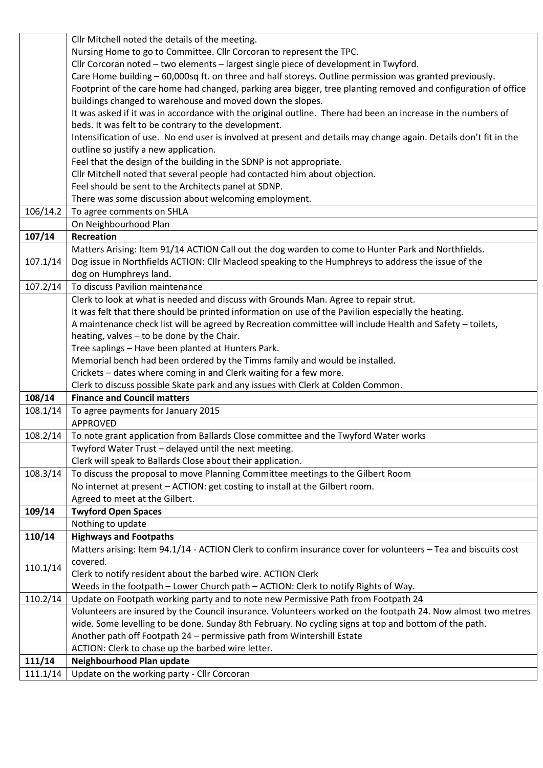|                    | Cllr Mitchell noted the details of the meeting.                                                                   |
|--------------------|-------------------------------------------------------------------------------------------------------------------|
|                    | Nursing Home to go to Committee. Cllr Corcoran to represent the TPC.                                              |
|                    | Cllr Corcoran noted - two elements - largest single piece of development in Twyford.                              |
|                    | Care Home building - 60,000sq ft. on three and half storeys. Outline permission was granted previously.           |
|                    | Footprint of the care home had changed, parking area bigger, tree planting removed and configuration of office    |
|                    | buildings changed to warehouse and moved down the slopes.                                                         |
|                    | It was asked if it was in accordance with the original outline. There had been an increase in the numbers of      |
|                    | beds. It was felt to be contrary to the development.                                                              |
|                    | Intensification of use. No end user is involved at present and details may change again. Details don't fit in the |
|                    | outline so justify a new application.                                                                             |
|                    | Feel that the design of the building in the SDNP is not appropriate.                                              |
|                    | Cllr Mitchell noted that several people had contacted him about objection.                                        |
|                    | Feel should be sent to the Architects panel at SDNP.                                                              |
|                    | There was some discussion about welcoming employment.                                                             |
| 106/14.2           | To agree comments on SHLA                                                                                         |
|                    | On Neighbourhood Plan                                                                                             |
| 107/14             | <b>Recreation</b>                                                                                                 |
|                    | Matters Arising: Item 91/14 ACTION Call out the dog warden to come to Hunter Park and Northfields.                |
| 107.1/14           | Dog issue in Northfields ACTION: Cllr Macleod speaking to the Humphreys to address the issue of the               |
|                    | dog on Humphreys land.                                                                                            |
| 107.2/14           | To discuss Pavilion maintenance                                                                                   |
|                    | Clerk to look at what is needed and discuss with Grounds Man. Agree to repair strut.                              |
|                    | It was felt that there should be printed information on use of the Pavilion especially the heating.               |
|                    | A maintenance check list will be agreed by Recreation committee will include Health and Safety - toilets,         |
|                    | heating, valves - to be done by the Chair.                                                                        |
|                    | Tree saplings - Have been planted at Hunters Park.                                                                |
|                    | Memorial bench had been ordered by the Timms family and would be installed.                                       |
|                    | Crickets - dates where coming in and Clerk waiting for a few more.                                                |
|                    | Clerk to discuss possible Skate park and any issues with Clerk at Colden Common.                                  |
| 108/14             | <b>Finance and Council matters</b>                                                                                |
| 108.1/14           | To agree payments for January 2015                                                                                |
|                    | <b>APPROVED</b>                                                                                                   |
|                    |                                                                                                                   |
| 108.2/14           | To note grant application from Ballards Close committee and the Twyford Water works                               |
|                    | Twyford Water Trust - delayed until the next meeting.                                                             |
|                    | Clerk will speak to Ballards Close about their application.                                                       |
| 108.3/14           | To discuss the proposal to move Planning Committee meetings to the Gilbert Room                                   |
|                    | No internet at present - ACTION: get costing to install at the Gilbert room.                                      |
|                    | Agreed to meet at the Gilbert.                                                                                    |
| 109/14             | <b>Twyford Open Spaces</b>                                                                                        |
|                    | Nothing to update                                                                                                 |
| 110/14             | <b>Highways and Footpaths</b>                                                                                     |
|                    |                                                                                                                   |
| 110.1/14           | Matters arising: Item 94.1/14 - ACTION Clerk to confirm insurance cover for volunteers - Tea and biscuits cost    |
|                    | covered.                                                                                                          |
|                    | Clerk to notify resident about the barbed wire. ACTION Clerk                                                      |
|                    | Weeds in the footpath - Lower Church path - ACTION: Clerk to notify Rights of Way.                                |
| 110.2/14           | Update on Footpath working party and to note new Permissive Path from Footpath 24                                 |
|                    | Volunteers are insured by the Council insurance. Volunteers worked on the footpath 24. Now almost two metres      |
|                    | wide. Some levelling to be done. Sunday 8th February. No cycling signs at top and bottom of the path.             |
|                    | Another path off Footpath 24 - permissive path from Wintershill Estate                                            |
|                    | ACTION: Clerk to chase up the barbed wire letter.                                                                 |
| 111/14<br>111.1/14 | Neighbourhood Plan update<br>Update on the working party - Cllr Corcoran                                          |